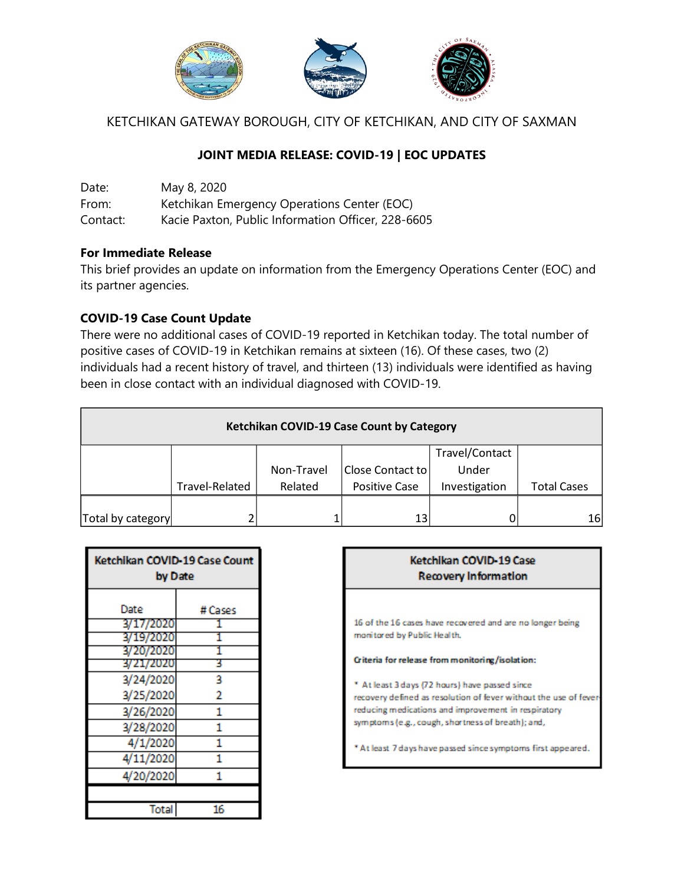

KETCHIKAN GATEWAY BOROUGH, CITY OF KETCHIKAN, AND CITY OF SAXMAN

# **JOINT MEDIA RELEASE: COVID-19 | EOC UPDATES**

Date: May 8, 2020 From: Ketchikan Emergency Operations Center (EOC) Contact: Kacie Paxton, Public Information Officer, 228-6605

#### **For Immediate Release**

This brief provides an update on information from the Emergency Operations Center (EOC) and its partner agencies.

#### **COVID-19 Case Count Update**

There were no additional cases of COVID-19 reported in Ketchikan today. The total number of positive cases of COVID-19 in Ketchikan remains at sixteen (16). Of these cases, two (2) individuals had a recent history of travel, and thirteen (13) individuals were identified as having been in close contact with an individual diagnosed with COVID-19.

| Ketchikan COVID-19 Case Count by Category |                |            |                      |                |                    |  |
|-------------------------------------------|----------------|------------|----------------------|----------------|--------------------|--|
|                                           |                |            |                      | Travel/Contact |                    |  |
|                                           |                | Non-Travel | Close Contact to     | Under          |                    |  |
|                                           | Travel-Related | Related    | <b>Positive Case</b> | Investigation  | <b>Total Cases</b> |  |
|                                           |                |            |                      |                |                    |  |
| Total by category                         |                |            | 13                   |                | 16                 |  |

| Ketchikan COVID-19 Case Count<br>by Date |         |  |
|------------------------------------------|---------|--|
| Date                                     | # Cases |  |
| 3/17/2020                                |         |  |
| 3/19/2020                                |         |  |
| 3/20/2020                                |         |  |
| 3/21/2020                                | 3       |  |
| 3/24/2020                                | 3       |  |
| 3/25/2020                                | 2       |  |
| 3/26/2020                                | 1       |  |
| 3/28/2020                                | 1       |  |
| 4/1/2020                                 | 1       |  |
| 4/11/2020                                | 1       |  |
| 4/20/2020                                |         |  |
|                                          |         |  |
| Total                                    | 16      |  |

| Ketchikan COVID-19 Case<br><b>Recovery Information</b>                                                                                                                                                                         |  |  |  |  |
|--------------------------------------------------------------------------------------------------------------------------------------------------------------------------------------------------------------------------------|--|--|--|--|
| 16 of the 16 cases have recovered and are no longer being<br>monitored by Public Health.                                                                                                                                       |  |  |  |  |
| Criteria for release from monitoring/isolation:                                                                                                                                                                                |  |  |  |  |
| * At least 3 days (72 hours) have passed since<br>recovery defined as resolution of fever without the use of fever<br>reducing medications and improvement in respiratory<br>symptoms (e.g., cough, shortness of breath); and, |  |  |  |  |
| * At least 7 days have passed since symptoms first appeared.                                                                                                                                                                   |  |  |  |  |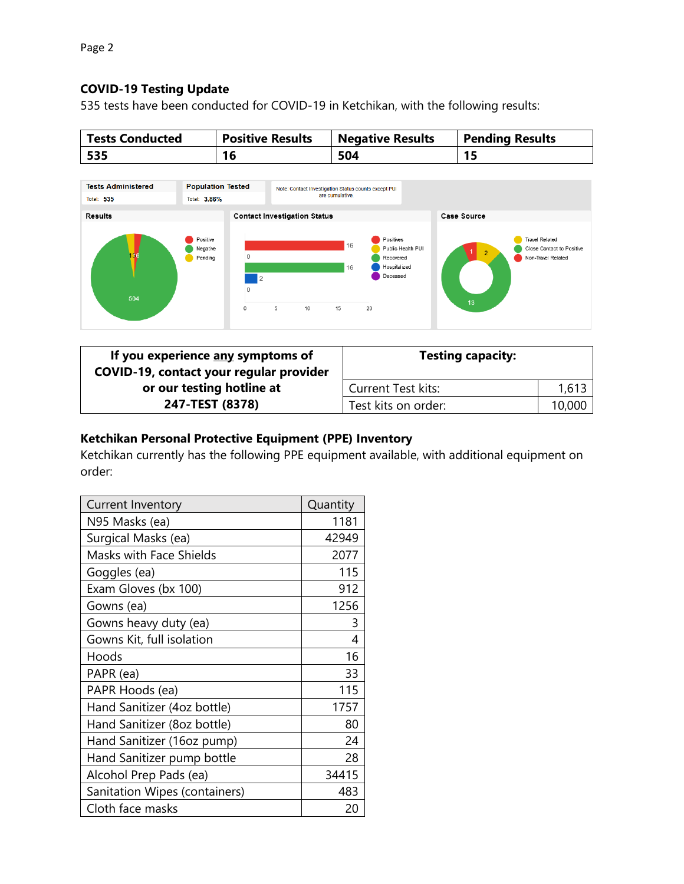# **COVID-19 Testing Update**

535 tests have been conducted for COVID-19 in Ketchikan, with the following results:

| <b>Tests Conducted</b> | <b>Positive Results</b> | <b>Negative Results</b> | <b>Pending Results</b> |
|------------------------|-------------------------|-------------------------|------------------------|
| 535                    | 16                      | 504                     | 15                     |



| If you experience any symptoms of<br>COVID-19, contact your regular provider | <b>Testing capacity:</b>  |        |
|------------------------------------------------------------------------------|---------------------------|--------|
| or our testing hotline at                                                    | <b>Current Test kits:</b> | 1,613  |
| 247-TEST (8378)                                                              | Test kits on order:       | 10,000 |

# **Ketchikan Personal Protective Equipment (PPE) Inventory**

Ketchikan currently has the following PPE equipment available, with additional equipment on order:

| <b>Current Inventory</b>      | Quantity |
|-------------------------------|----------|
| N95 Masks (ea)                | 1181     |
| Surgical Masks (ea)           | 42949    |
| Masks with Face Shields       | 2077     |
| Goggles (ea)                  | 115      |
| Exam Gloves (bx 100)          | 912      |
| Gowns (ea)                    | 1256     |
| Gowns heavy duty (ea)         | 3        |
| Gowns Kit, full isolation     | 4        |
| Hoods                         | 16       |
| PAPR (ea)                     | 33       |
| PAPR Hoods (ea)               | 115      |
| Hand Sanitizer (4oz bottle)   | 1757     |
| Hand Sanitizer (8oz bottle)   | 80       |
| Hand Sanitizer (16oz pump)    | 24       |
| Hand Sanitizer pump bottle    | 28       |
| Alcohol Prep Pads (ea)        | 34415    |
| Sanitation Wipes (containers) | 483      |
| Cloth face masks              | 20       |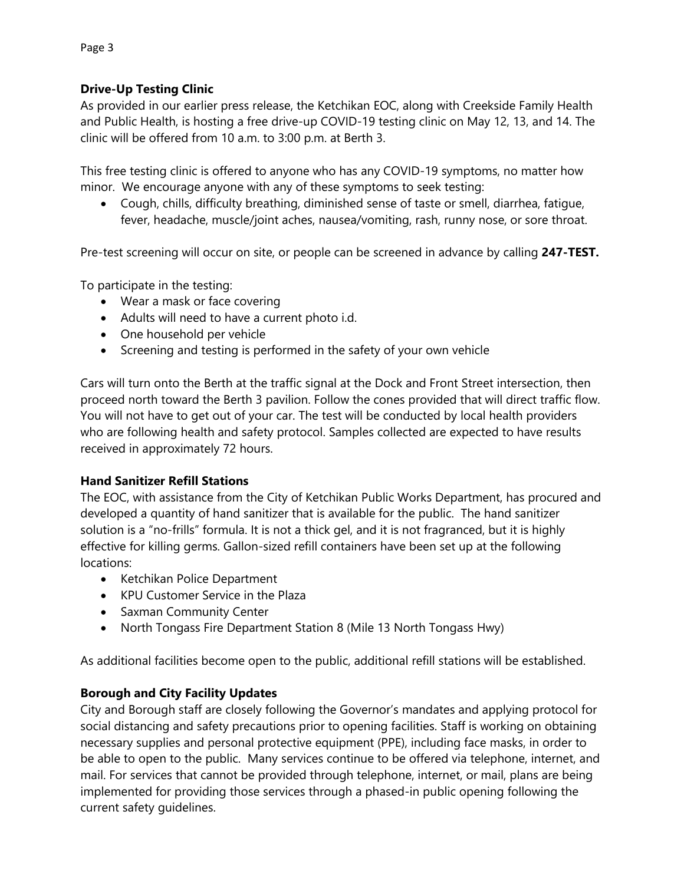### **Drive-Up Testing Clinic**

As provided in our earlier press release, the Ketchikan EOC, along with Creekside Family Health and Public Health, is hosting a free drive-up COVID-19 testing clinic on May 12, 13, and 14. The clinic will be offered from 10 a.m. to 3:00 p.m. at Berth 3.

This free testing clinic is offered to anyone who has any COVID-19 symptoms, no matter how minor. We encourage anyone with any of these symptoms to seek testing:

 Cough, chills, difficulty breathing, diminished sense of taste or smell, diarrhea, fatigue, fever, headache, muscle/joint aches, nausea/vomiting, rash, runny nose, or sore throat.

Pre-test screening will occur on site, or people can be screened in advance by calling **247-TEST.**

To participate in the testing:

- Wear a mask or face covering
- Adults will need to have a current photo i.d.
- One household per vehicle
- Screening and testing is performed in the safety of your own vehicle

Cars will turn onto the Berth at the traffic signal at the Dock and Front Street intersection, then proceed north toward the Berth 3 pavilion. Follow the cones provided that will direct traffic flow. You will not have to get out of your car. The test will be conducted by local health providers who are following health and safety protocol. Samples collected are expected to have results received in approximately 72 hours.

### **Hand Sanitizer Refill Stations**

The EOC, with assistance from the City of Ketchikan Public Works Department, has procured and developed a quantity of hand sanitizer that is available for the public. The hand sanitizer solution is a "no-frills" formula. It is not a thick gel, and it is not fragranced, but it is highly effective for killing germs. Gallon-sized refill containers have been set up at the following locations:

- Ketchikan Police Department
- KPU Customer Service in the Plaza
- Saxman Community Center
- North Tongass Fire Department Station 8 (Mile 13 North Tongass Hwy)

As additional facilities become open to the public, additional refill stations will be established.

### **Borough and City Facility Updates**

City and Borough staff are closely following the Governor's mandates and applying protocol for social distancing and safety precautions prior to opening facilities. Staff is working on obtaining necessary supplies and personal protective equipment (PPE), including face masks, in order to be able to open to the public. Many services continue to be offered via telephone, internet, and mail. For services that cannot be provided through telephone, internet, or mail, plans are being implemented for providing those services through a phased-in public opening following the current safety guidelines.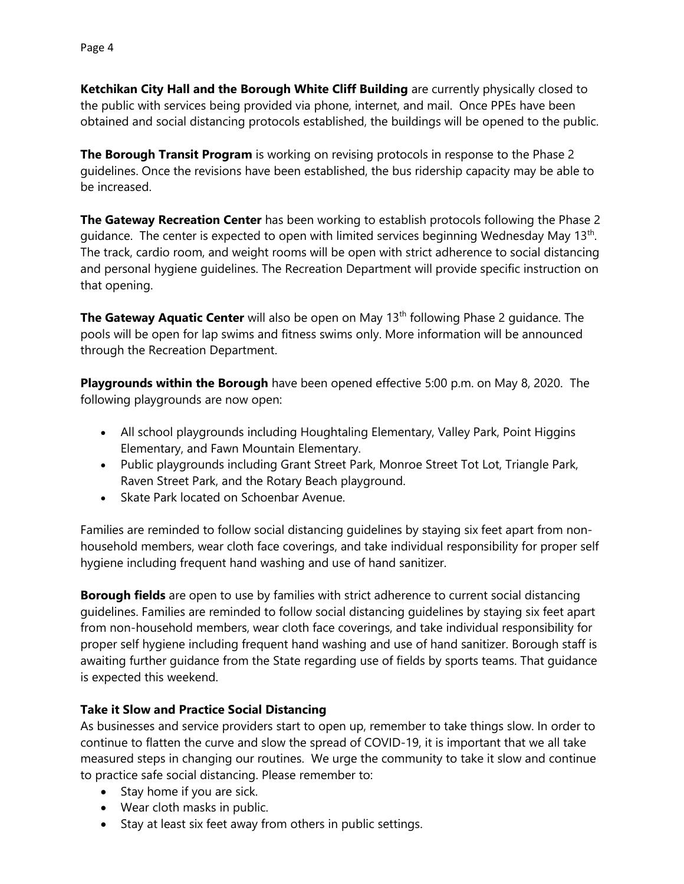**Ketchikan City Hall and the Borough White Cliff Building** are currently physically closed to the public with services being provided via phone, internet, and mail. Once PPEs have been obtained and social distancing protocols established, the buildings will be opened to the public.

**The Borough Transit Program** is working on revising protocols in response to the Phase 2 guidelines. Once the revisions have been established, the bus ridership capacity may be able to be increased.

**The Gateway Recreation Center** has been working to establish protocols following the Phase 2 guidance. The center is expected to open with limited services beginning Wednesday May 13<sup>th</sup>. The track, cardio room, and weight rooms will be open with strict adherence to social distancing and personal hygiene guidelines. The Recreation Department will provide specific instruction on that opening.

**The Gateway Aquatic Center** will also be open on May 13<sup>th</sup> following Phase 2 guidance. The pools will be open for lap swims and fitness swims only. More information will be announced through the Recreation Department.

**Playgrounds within the Borough** have been opened effective 5:00 p.m. on May 8, 2020. The following playgrounds are now open:

- All school playgrounds including Houghtaling Elementary, Valley Park, Point Higgins Elementary, and Fawn Mountain Elementary.
- Public playgrounds including Grant Street Park, Monroe Street Tot Lot, Triangle Park, Raven Street Park, and the Rotary Beach playground.
- Skate Park located on Schoenbar Avenue.

Families are reminded to follow social distancing guidelines by staying six feet apart from nonhousehold members, wear cloth face coverings, and take individual responsibility for proper self hygiene including frequent hand washing and use of hand sanitizer.

**Borough fields** are open to use by families with strict adherence to current social distancing guidelines. Families are reminded to follow social distancing guidelines by staying six feet apart from non-household members, wear cloth face coverings, and take individual responsibility for proper self hygiene including frequent hand washing and use of hand sanitizer. Borough staff is awaiting further guidance from the State regarding use of fields by sports teams. That guidance is expected this weekend.

### **Take it Slow and Practice Social Distancing**

As businesses and service providers start to open up, remember to take things slow. In order to continue to flatten the curve and slow the spread of COVID-19, it is important that we all take measured steps in changing our routines. We urge the community to take it slow and continue to practice safe social distancing. Please remember to:

- Stay home if you are sick.
- Wear cloth masks in public.
- Stay at least six feet away from others in public settings.